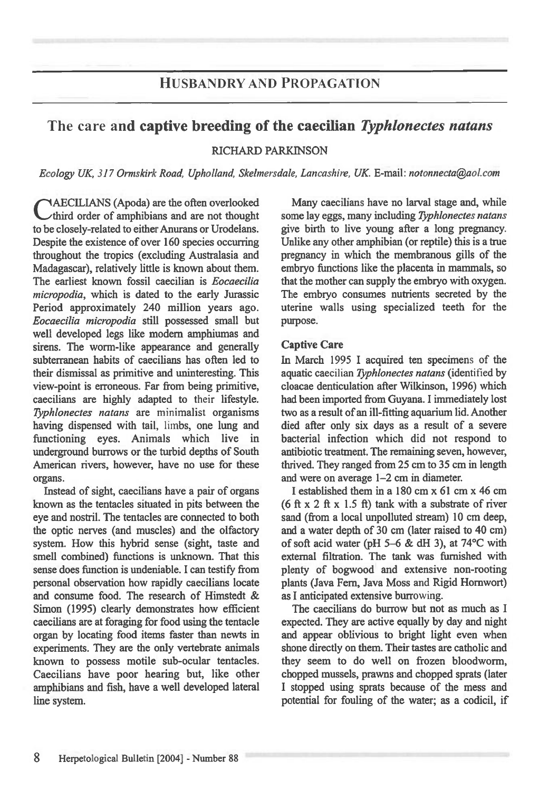# **HUSBANDRY AND PROPAGATION**

# The care **and captive breeding of the caecilian** *Typhlonectes natans*

### RICHARD PARKINSON

*Ecology UK, 317 Ormskirk Road, Upholland, Skelmersdale, Lancashire, UK E-mail: notonnecta@aol.com* 

**TAECILIANS** (Apoda) are the often overlooked third order of amphibians and are not thought to be closely-related to either Anurans or Urodelans. Despite the existence of over 160 species occurring throughout the tropics (excluding Australasia and Madagascar), relatively little is known about them. The earliest known fossil caecilian is *Eocaecilia micropodia,* which is dated to the early Jurassic Period approximately 240 million years ago. *Eocaecilia micropodia* still possessed small but well developed legs like modem amphiumas and sirens. The worm-like appearance and generally subterranean habits of caecilians has often led to their dismissal as primitive and uninteresting. This view-point is erroneous. Far from being primitive, caecilians are highly adapted to their lifestyle. *7),phlonectes natans* are minimalist organisms having dispensed with tail, limbs, one lung and functioning eyes. Animals which live in underground burrows or the turbid depths of South American rivers, however, have no use for these organs.

Instead of sight, caecilians have a pair of organs known as the tentacles situated in pits between the eye and nostril. The tentacles are connected to both the optic nerves (and muscles) and the olfactory system. How this hybrid sense (sight, taste and smell combined) functions is unknown. That this sense does function is undeniable. I can testify from personal observation how rapidly caecilians locate and consume food. The research of Himstedt & Simon (1995) clearly demonstrates how efficient caecilians are at foraging for food using the tentacle organ by locating food items faster than newts in experiments. They are the only vertebrate animals known to possess motile sub-ocular tentacles. Caecilians have poor hearing but, like other amphibians and fish, have a well developed lateral line system.

Many caecilians have no larval stage and, while some lay eggs, many including *Typhlonectes natans*  give birth to live young after a long pregnancy. Unlike any other amphibian (or reptile) this is a true pregnancy in which the membranous gills of the embryo functions like the placenta in mammals, so that the mother can supply the embryo with oxygen. The embryo consumes nutrients secreted by the uterine walls using specialized teeth for the purpose.

### Captive Care

In March 1995 I acquired ten specimens of the aquatic caecilian *Typhlonectes natans* (identified by cloacae denticulation after Wilkinson, 1996) which had been imported from Guyana. I immediately lost two as a result of an ill-fitting aquarium lid. Another died after only six days as a result of a severe bacterial infection which did not respond to antibiotic treatment. The remaining seven, however, thrived. They ranged from 25 cm to 35 cm in length and were on average 1-2 cm in diameter.

I established them in a 180 cm x 61 cm x 46 cm (6 ft x 2 ft x 1.5 ft) tank with a substrate of river sand (from a local unpolluted stream) 10 cm deep, and a water depth of 30 cm (later raised to 40 cm) of soft acid water (pH 5-6 & dH 3), at 74°C with external filtration. The tank was furnished with plenty of bogwood and extensive non-rooting plants (Java Fern, Java Moss and Rigid Homwort) as I anticipated extensive burrowing.

The caecilians do burrow but not as much as I expected. They are active equally by day and night and appear oblivious to bright light even when shone directly on them. Their tastes are catholic and they seem to do well on frozen bloodworm, chopped mussels, prawns and chopped sprats (later I stopped using sprats because of the mess and potential for fouling of the water; as a codicil, if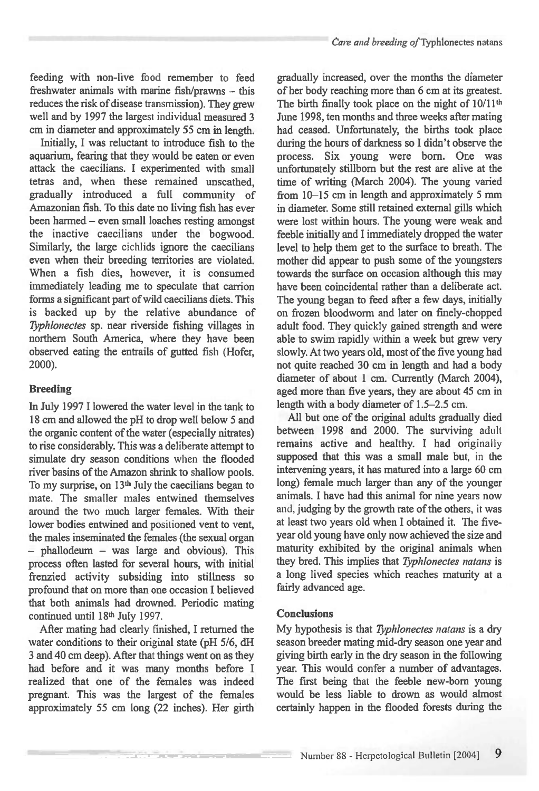feeding with non-live food remember to feed freshwater animals with marine fish/prawns — this reduces the risk of disease transmission). They grew well and by 1997 the largest individual measured 3 cm in diameter and approximately 55 cm in length.

Initially, I was reluctant to introduce fish to the aquarium, fearing that they would be eaten or even attack the caecilians. I experimented with small tetras and, when these remained unscathed, gradually introduced a full community of Amazonian fish. To this date no living fish has ever been harmed – even small loaches resting amongst the inactive caecilians under the bogwood. Similarly, the large cichlids ignore the caecilians even when their breeding territories are violated. When a fish dies, however, it is consumed immediately leading me to speculate that carrion forms a significant part of wild caecilians diets. This is backed up by the relative abundance of *Typhlonectes* sp. near riverside fishing villages in northern South America, where they have been observed eating the entrails of gutted fish (Hofer, 2000).

### **Breeding**

**In** July 1997 I lowered the water level in the tank to 18 cm and allowed the pH to drop well below 5 and the organic content of the water (especially nitrates) to rise considerably. This was a deliberate attempt to simulate dry season conditions when the flooded river basins of the Amazon shrink to shallow pools. To my surprise, on 13<sup>th</sup> July the caecilians began to mate. The smaller males entwined themselves around the two much larger females. With their lower bodies entwined and positioned vent to vent, the males inseminated the females (the sexual organ — phallodeum — was large and obvious). This process often lasted for several hours, with initial frenzied activity subsiding into stillness so profound that on more than one occasion I believed that both animals had drowned. Periodic mating continued until 18th July 1997.

After mating had clearly finished, I returned the water conditions to their original state (pH 5/6, dH 3 and 40 cm deep). After that things went on as they had before and it was many months before I realized that one of the females was indeed pregnant. This was the largest of the females approximately 55 cm long (22 inches). Her girth

**CONTRACTOR AND STREET WAS CITED AND IN** 

gradually increased, over the months the diameter of her body reaching more than 6 cm at its greatest. The birth finally took place on the night of 10/11<sup>th</sup> June 1998, ten months and three weeks after mating had ceased. Unfortunately, the births took place during the hours of darkness so I didn't observe the process. Six young were born. One was unfortunately stillborn but the rest are alive at the time of writing (March 2004). The young varied from 10-15 cm in length and approximately 5 mm in diameter. Some still retained external gills which were lost within hours. The young were weak and feeble initially and I immediately dropped the water level to help them get to the surface to breath. The mother did appear to push some of the youngsters towards the surface on occasion although this may have been coincidental rather than a deliberate act. The young began to feed after a few days, initially on frozen bloodworm and later on finely-chopped adult food. They quickly gained strength and were able to swim rapidly within a week but grew very slowly. At two years old, most of the five young had not quite reached 30 cm in length and had a body diameter of about 1 cm. Currently (March 2004), aged more than five years, they are about 45 cm in length with a body diameter of 1.5-2.5 cm.

All but one of the original adults gradually died between 1998 and 2000. The surviving adult remains active and healthy. I had originally supposed that this was a small male but, in the intervening years, it has matured into a large 60 cm long) female much larger than any of the younger animals. I have had this animal for nine years now and, judging by the growth rate of the others, it was at least two years old when I obtained it. The fiveyear old young have only now achieved the size and maturity exhibited by the original animals when they bred. This implies that *Typhlonectes natans is*  a long lived species which reaches maturity at a fairly advanced age.

#### **Conclusions**

My hypothesis is that *73,phlonectes natans is* a dry season breeder mating mid-dry season one year and giving birth early in the dry season in the following year. This would confer a number of advantages. The first being that the feeble new-born young would be less liable to drown as would almost certainly happen in the flooded forests during the